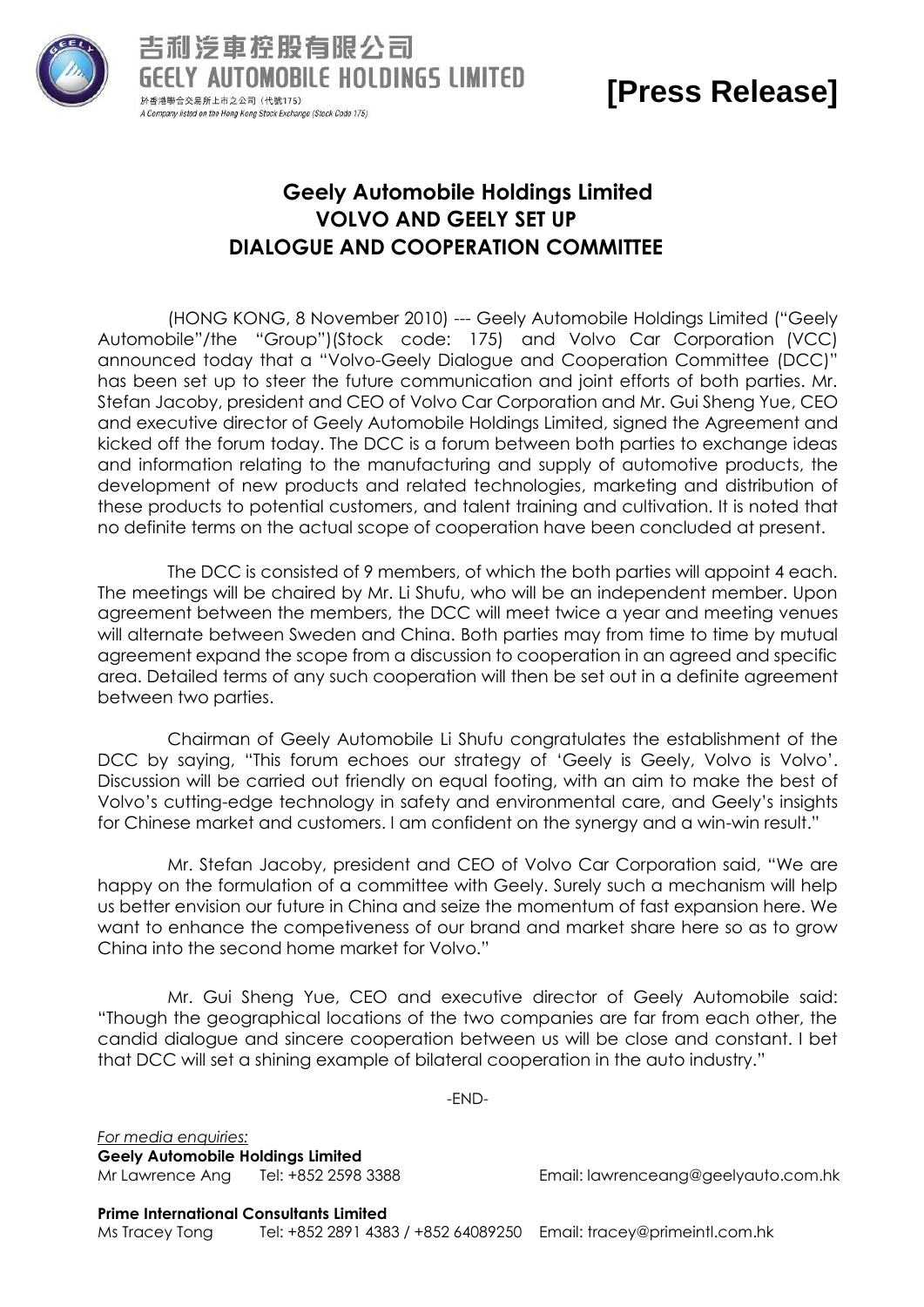

## **[Press Release]**

## **Geely Automobile Holdings Limited VOLVO AND GEELY SET UP DIALOGUE AND COOPERATION COMMITTEE**

(HONG KONG, 8 November 2010) --- Geely Automobile Holdings Limited ("Geely Automobile"/the "Group")(Stock code: 175) and Volvo Car Corporation (VCC) announced today that a "Volvo-Geely Dialogue and Cooperation Committee (DCC)" has been set up to steer the future communication and joint efforts of both parties. Mr. Stefan Jacoby, president and CEO of Volvo Car Corporation and Mr. Gui Sheng Yue, CEO and executive director of Geely Automobile Holdings Limited, signed the Agreement and kicked off the forum today. The DCC is a forum between both parties to exchange ideas and information relating to the manufacturing and supply of automotive products, the development of new products and related technologies, marketing and distribution of these products to potential customers, and talent training and cultivation. It is noted that no definite terms on the actual scope of cooperation have been concluded at present.

The DCC is consisted of 9 members, of which the both parties will appoint 4 each. The meetings will be chaired by Mr. Li Shufu, who will be an independent member. Upon agreement between the members, the DCC will meet twice a year and meeting venues will alternate between Sweden and China. Both parties may from time to time by mutual agreement expand the scope from a discussion to cooperation in an agreed and specific area. Detailed terms of any such cooperation will then be set out in a definite agreement between two parties.

Chairman of Geely Automobile Li Shufu congratulates the establishment of the DCC by saying, "This forum echoes our strategy of "Geely is Geely, Volvo is Volvo". Discussion will be carried out friendly on equal footing, with an aim to make the best of Volvo"s cutting-edge technology in safety and environmental care, and Geely"s insights for Chinese market and customers. I am confident on the synergy and a win-win result."

Mr. Stefan Jacoby, president and CEO of Volvo Car Corporation said, "We are happy on the formulation of a committee with Geely. Surely such a mechanism will help us better envision our future in China and seize the momentum of fast expansion here. We want to enhance the competiveness of our brand and market share here so as to grow China into the second home market for Volvo."

Mr. Gui Sheng Yue, CEO and executive director of Geely Automobile said: "Though the geographical locations of the two companies are far from each other, the candid dialogue and sincere cooperation between us will be close and constant. I bet that DCC will set a shining example of bilateral cooperation in the auto industry."

-END-

*For media enquiries:* **Geely Automobile Holdings Limited**

Mr Lawrence Ang Tel: +852 2598 3388 Email: [lawrenceang@geelyauto.com.hk](mailto:lawrenceang@geelyauto.com.hk)

**Prime International Consultants Limited**

Ms Tracey Tong Tel: +852 2891 4383 / +852 64089250 Email: tracey@primeintl.com.hk